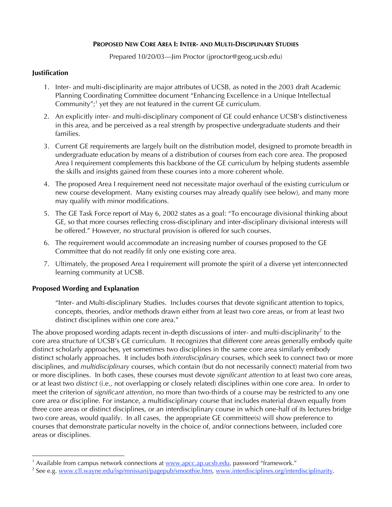# **PROPOSED NEW CORE AREA I: INTER- AND MULTI-DISCIPLINARY STUDIES**

Prepared 10/20/03—Jim Proctor (jproctor@geog.ucsb.edu)

### **Justification**

- 1. Inter- and multi-disciplinarity are major attributes of UCSB, as noted in the 2003 draft Academic Planning Coordinating Committee document "Enhancing Excellence in a Unique Intellectual Community";<sup>1</sup> yet they are not featured in the current GE curriculum.
- 2. An explicitly inter- and multi-disciplinary component of GE could enhance UCSB's distinctiveness in this area, and be perceived as a real strength by prospective undergraduate students and their families.
- 3. Current GE requirements are largely built on the distribution model, designed to promote breadth in undergraduate education by means of a distribution of courses from each core area. The proposed Area I requirement complements this backbone of the GE curriculum by helping students assemble the skills and insights gained from these courses into a more coherent whole.
- 4. The proposed Area I requirement need not necessitate major overhaul of the existing curriculum or new course development. Many existing courses may already qualify (see below), and many more may qualify with minor modifications.
- 5. The GE Task Force report of May 6, 2002 states as a goal: "To encourage divisional thinking about GE, so that more courses reflecting cross-disciplinary and inter-disciplinary divisional interests will be offered." However, no structural provision is offered for such courses.
- 6. The requirement would accommodate an increasing number of courses proposed to the GE Committee that do not readily fit only one existing core area.
- 7. Ultimately, the proposed Area I requirement will promote the spirit of a diverse yet interconnected learning community at UCSB.

# **Proposed Wording and Explanation**

"Inter- and Multi-disciplinary Studies. Includes courses that devote significant attention to topics, concepts, theories, and/or methods drawn either from at least two core areas, or from at least two distinct disciplines within one core area."

The above proposed wording adapts recent in-depth discussions of inter- and multi-disciplinarity<sup>2</sup> to the core area structure of UCSB's GE curriculum. It recognizes that different core areas generally embody quite distinct scholarly approaches, yet sometimes two disciplines in the same core area similarly embody distinct scholarly approaches. It includes both *interdisciplinary* courses, which seek to connect two or more disciplines, and *multidisciplinary* courses, which contain (but do not necessarily connect) material from two or more disciplines. In both cases, these courses must devote *significant attention* to at least two core areas, or at least two *distinct* (i.e., not overlapping or closely related) disciplines within one core area. In order to meet the criterion of *significant attention*, no more than two-thirds of a course may be restricted to any one core area or discipline. For instance, a multidisciplinary course that includes material drawn equally from three core areas or distinct disciplines, or an interdisciplinary course in which one-half of its lectures bridge two core areas, would qualify. In all cases, the appropriate GE committee(s) will show preference to courses that demonstrate particular novelty in the choice of, and/or connections between, included core areas or disciplines.

<sup>|&</sup>lt;br>1 <sup>1</sup> Available from campus network connections at www.apcc.ap.ucsb.edu, password "framework."

<sup>&</sup>lt;sup>2</sup> See e.g. <u>www.cll.wayne.edu/isp/mnissani/pagepub/smoothie.htm, www.interdisciplines.org/interdisciplinarity.</u>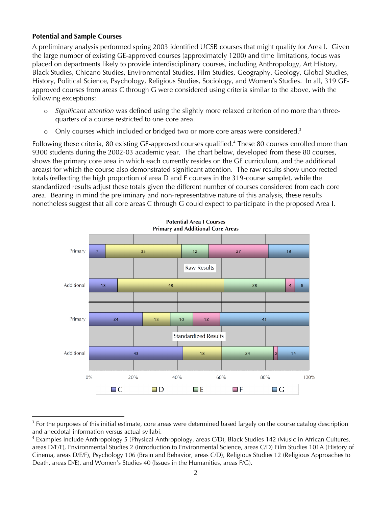### **Potential and Sample Courses**

A preliminary analysis performed spring 2003 identified UCSB courses that might qualify for Area I. Given the large number of existing GE-approved courses (approximately 1200) and time limitations, focus was placed on departments likely to provide interdisciplinary courses, including Anthropology, Art History, Black Studies, Chicano Studies, Environmental Studies, Film Studies, Geography, Geology, Global Studies, History, Political Science, Psychology, Religious Studies, Sociology, and Women's Studies. In all, 319 GEapproved courses from areas C through G were considered using criteria similar to the above, with the following exceptions:

- o *Significant attention* was defined using the slightly more relaxed criterion of no more than threequarters of a course restricted to one core area.
- $\circ$  Only courses which included or bridged two or more core areas were considered.<sup>3</sup>

Following these criteria, 80 existing GE-approved courses qualified.<sup>4</sup> These 80 courses enrolled more than 9300 students during the 2002-03 academic year. The chart below, developed from these 80 courses, shows the primary core area in which each currently resides on the GE curriculum, and the additional area(s) for which the course also demonstrated significant attention. The raw results show uncorrected totals (reflecting the high proportion of area D and F courses in the 319-course sample), while the standardized results adjust these totals given the different number of courses considered from each core area. Bearing in mind the preliminary and non-representative nature of this analysis, these results nonetheless suggest that all core areas C through G could expect to participate in the proposed Area I.



 <sup>3</sup>  $3$  For the purposes of this initial estimate, core areas were determined based largely on the course catalog description and anecdotal information versus actual syllabi.

<sup>4</sup> Examples include Anthropology 5 (Physical Anthropology, areas C/D), Black Studies 142 (Music in African Cultures, areas D/E/F), Environmental Studies 2 (Introduction to Environmental Science, areas C/D) Film Studies 101A (History of Cinema, areas D/E/F), Psychology 106 (Brain and Behavior, areas C/D), Religious Studies 12 (Religious Approaches to Death, areas D/E), and Women's Studies 40 (Issues in the Humanities, areas F/G).